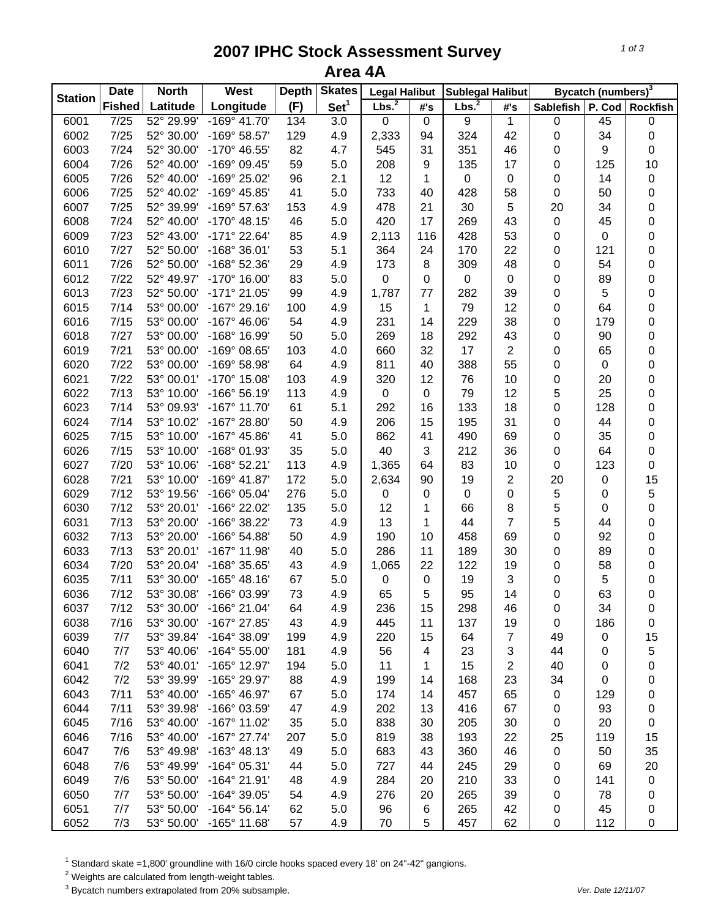## **2007 IPHC Stock Assessment Survey Area 4A**

| <b>Station</b> | <b>Date</b>       | <b>North</b> | West                  | <b>Depth</b> | <b>Skates</b>    | <b>Legal Halibut</b> |                  | <b>Sublegal Halibut</b> |                | Bycatch (numbers) <sup>3</sup> |           |                 |
|----------------|-------------------|--------------|-----------------------|--------------|------------------|----------------------|------------------|-------------------------|----------------|--------------------------------|-----------|-----------------|
|                | <b>Fished</b>     | Latitude     | Longitude             | (F)          | Set <sup>1</sup> | Lbs. <sup>2</sup>    | #'s              | Lbs. <sup>2</sup>       | #'s            | <b>Sablefish</b>               |           | P. Cod Rockfish |
| 6001           | $\overline{7/25}$ | 52° 29.99'   | $-169°$ 41.70'        | 134          | $\overline{3.0}$ | $\mathbf 0$          | $\overline{0}$   | $\overline{9}$          | $\mathbf{1}$   | 0                              | 45        | 0               |
| 6002           | 7/25              | 52° 30.00'   | -169° 58.57'          | 129          | 4.9              | 2,333                | 94               | 324                     | 42             | 0                              | 34        | 0               |
| 6003           | 7/24              | 52° 30.00'   | -170° 46.55'          | 82           | 4.7              | 545                  | 31               | 351                     | 46             | 0                              | 9         | 0               |
| 6004           | 7/26              | 52° 40.00'   | -169° 09.45'          | 59           | 5.0              | 208                  | 9                | 135                     | 17             | 0                              | 125       | 10              |
| 6005           | 7/26              | 52° 40.00'   | -169° 25.02'          | 96           | 2.1              | 12                   | 1                | $\pmb{0}$               | 0              | 0                              | 14        | $\pmb{0}$       |
| 6006           | 7/25              | 52° 40.02'   | -169° 45.85'          | 41           | 5.0              | 733                  | 40               | 428                     | 58             | 0                              | 50        | 0               |
| 6007           | 7/25              | 52° 39.99'   | -169° 57.63'          | 153          | 4.9              | 478                  | 21               | 30                      | 5              | 20                             | 34        | 0               |
| 6008           | 7/24              | 52° 40.00'   | $-170^{\circ}$ 48.15' | 46           | 5.0              | 420                  | 17               | 269                     | 43             | $\pmb{0}$                      | 45        | 0               |
| 6009           | 7/23              | 52° 43.00'   | -171° 22.64'          | 85           | 4.9              | 2,113                | 116              | 428                     | 53             | 0                              | $\pmb{0}$ | 0               |
| 6010           | 7/27              | 52° 50.00'   | -168° 36.01'          | 53           | 5.1              | 364                  | 24               | 170                     | 22             | 0                              | 121       | 0               |
| 6011           | 7/26              | 52° 50.00'   | -168° 52.36'          | 29           | 4.9              | 173                  | 8                | 309                     | 48             | 0                              | 54        | 0               |
| 6012           | 7/22              | 52° 49.97'   | -170° 16.00'          | 83           | 5.0              | 0                    | 0                | 0                       | 0              | 0                              | 89        | 0               |
| 6013           | 7/23              | 52° 50.00'   | -171° 21.05'          | 99           | 4.9              | 1,787                | 77               | 282                     | 39             | 0                              | 5         | 0               |
| 6015           | 7/14              | 53° 00.00'   | $-167°$ 29.16'        | 100          | 4.9              | 15                   | 1                | 79                      | 12             | 0                              | 64        | 0               |
| 6016           | 7/15              | 53° 00.00'   | $-167^{\circ}$ 46.06' | 54           | 4.9              | 231                  | 14               | 229                     | 38             | 0                              | 179       | $\mathbf 0$     |
| 6018           | 7/27              | 53° 00.00'   | -168° 16.99'          | 50           | 5.0              | 269                  | 18               | 292                     | 43             | 0                              | 90        | 0               |
| 6019           | $7/21$            | 53° 00.00'   | -169° 08.65'          | 103          | 4.0              | 660                  | 32               | 17                      | $\overline{2}$ | 0                              | 65        | 0               |
| 6020           | 7/22              | 53° 00.00'   | -169° 58.98'          | 64           | 4.9              | 811                  | 40               | 388                     | 55             | 0                              | 0         | 0               |
| 6021           | 7/22              | 53° 00.01'   | -170° 15.08'          | 103          | 4.9              | 320                  | 12               | 76                      | 10             | 0                              | 20        | 0               |
| 6022           | 7/13              | 53° 10.00'   | $-166°56.19'$         | 113          | 4.9              | $\pmb{0}$            | $\pmb{0}$        | 79                      | 12             | 5                              | 25        | 0               |
| 6023           | 7/14              | 53° 09.93'   | $-167^\circ$ 11.70'   | 61           | 5.1              | 292                  | 16               | 133                     | 18             | 0                              | 128       | 0               |
| 6024           | 7/14              | 53° 10.02'   | -167° 28.80'          | 50           | 4.9              | 206                  | 15               | 195                     | 31             | 0                              | 44        | 0               |
| 6025           | 7/15              | 53° 10.00'   | -167° 45.86'          | 41           | 5.0              | 862                  | 41               | 490                     | 69             | 0                              | 35        | $\mathsf 0$     |
| 6026           | 7/15              | 53° 10.00'   | -168° 01.93'          | 35           | 5.0              | 40                   | 3                | 212                     | 36             | 0                              | 64        | 0               |
| 6027           | 7/20              | 53° 10.06'   | $-168°52.21'$         | 113          | 4.9              | 1,365                | 64               | 83                      | 10             | $\pmb{0}$                      | 123       | 0               |
| 6028           | $7/21$            | 53° 10.00'   | -169° 41.87'          | 172          | 5.0              | 2,634                | 90               | 19                      | 2              | 20                             | 0         | 15              |
| 6029           | 7/12              | 53° 19.56'   | -166° 05.04'          | 276          | 5.0              | 0                    | 0                | $\pmb{0}$               | 0              | 5                              | 0         | 5               |
| 6030           | 7/12              | 53° 20.01'   | -166° 22.02'          | 135          | 5.0              | 12                   | 1                | 66                      | 8              | 5                              | 0         | $\mathbf 0$     |
| 6031           | 7/13              | 53° 20.00'   | -166° 38.22'          | 73           | 4.9              | 13                   | 1                | 44                      | $\overline{7}$ | 5                              | 44        | 0               |
| 6032           | 7/13              | 53° 20.00'   | -166° 54.88'          | 50           | 4.9              | 190                  | 10               | 458                     | 69             | 0                              | 92        | 0               |
| 6033           | 7/13              | 53° 20.01'   | -167° 11.98'          | 40           | 5.0              | 286                  | 11               | 189                     | 30             | 0                              | 89        | 0               |
| 6034           | 7/20              | 53° 20.04'   | -168° 35.65'          | 43           | 4.9              | 1,065                | 22               | 122                     | 19             | 0                              | 58        | 0               |
| 6035           | 7/11              | 53° 30.00'   | $-165^{\circ}$ 48.16' | 67           | 5.0              | 0                    | $\boldsymbol{0}$ | 19                      | 3              | 0                              | 5         | 0               |
| 6036           | 7/12              | 53° 30.08'   | -166° 03.99'          | 73           | 4.9              | 65                   | 5                | 95                      | 14             | 0                              | 63        | 0               |
| 6037           | 7/12              | 53° 30.00'   | -166° 21.04'          | 64           | 4.9              | 236                  | 15               | 298                     | 46             | 0                              | 34        | 0               |
| 6038           | 7/16              | 53° 30.00'   | -167° 27.85'          | 43           | 4.9              | 445                  | 11               | 137                     | 19             | 0                              | 186       | 0               |
| 6039           | 7/7               | 53° 39.84'   | $-164^{\circ}$ 38.09' | 199          | 4.9              | 220                  | 15               | 64                      | $\overline{7}$ | 49                             | 0         | 15              |
| 6040           | 7/7               | 53° 40.06'   | $-164^{\circ} 55.00'$ | 181          | 4.9              | 56                   | 4                | 23                      | 3              | 44                             | 0         | 5               |
| 6041           | 7/2               | 53° 40.01'   | -165° 12.97'          | 194          | 5.0              | 11                   | 1                | 15                      | $\overline{c}$ | 40                             | 0         | 0               |
| 6042           | 7/2               | 53° 39.99'   | -165° 29.97'          | 88           | 4.9              | 199                  | 14               | 168                     | 23             | 34                             | 0         | 0               |
| 6043           | 7/11              | 53° 40.00'   | -165° 46.97'          | 67           | 5.0              | 174                  | 14               | 457                     | 65             | 0                              | 129       | 0               |
| 6044           | 7/11              | 53° 39.98'   | -166° 03.59'          | 47           | 4.9              | 202                  | 13               | 416                     | 67             | 0                              | 93        | 0               |
| 6045           | 7/16              | 53° 40.00'   | -167° 11.02'          | 35           | 5.0              | 838                  | 30               | 205                     | 30             | 0                              | 20        | 0               |
| 6046           | 7/16              | 53° 40.00'   | $-167^{\circ}$ 27.74' | 207          | 5.0              | 819                  | 38               | 193                     | 22             | 25                             | 119       | 15              |
| 6047           | 7/6               | 53° 49.98'   | $-163^\circ$ 48.13'   | 49           | 5.0              | 683                  | 43               | 360                     | 46             | 0                              | 50        | 35              |
| 6048           | 7/6               | 53° 49.99'   | $-164^{\circ}$ 05.31' | 44           | 5.0              | 727                  | 44               | 245                     | 29             | 0                              | 69        | 20              |
| 6049           | 7/6               | 53° 50.00'   | -164° 21.91'          | 48           | 4.9              | 284                  | 20               | 210                     | 33             | 0                              | 141       | $\pmb{0}$       |
| 6050           | 7/7               | 53° 50.00'   | -164° 39.05'          | 54           | 4.9              | 276                  | 20               | 265                     | 39             | 0                              | 78        | 0               |
| 6051           | 7/7               | 53° 50.00'   | $-164^{\circ} 56.14'$ | 62           | 5.0              | 96                   | 6                | 265                     | 42             | 0                              | 45        | 0               |
| 6052           | 7/3               | 53° 50.00'   | $-165°$ 11.68'        | 57           | 4.9              | 70                   | 5                | 457                     | 62             | 0                              | 112       | 0               |
|                |                   |              |                       |              |                  |                      |                  |                         |                |                                |           |                 |

<sup>1</sup> Standard skate =1,800' groundline with 16/0 circle hooks spaced every 18' on 24"-42" gangions.<br><sup>2</sup> Weights are calculated from length-weight tables.<br><sup>3</sup> Bycatch numbers extrapolated from 20% subsample.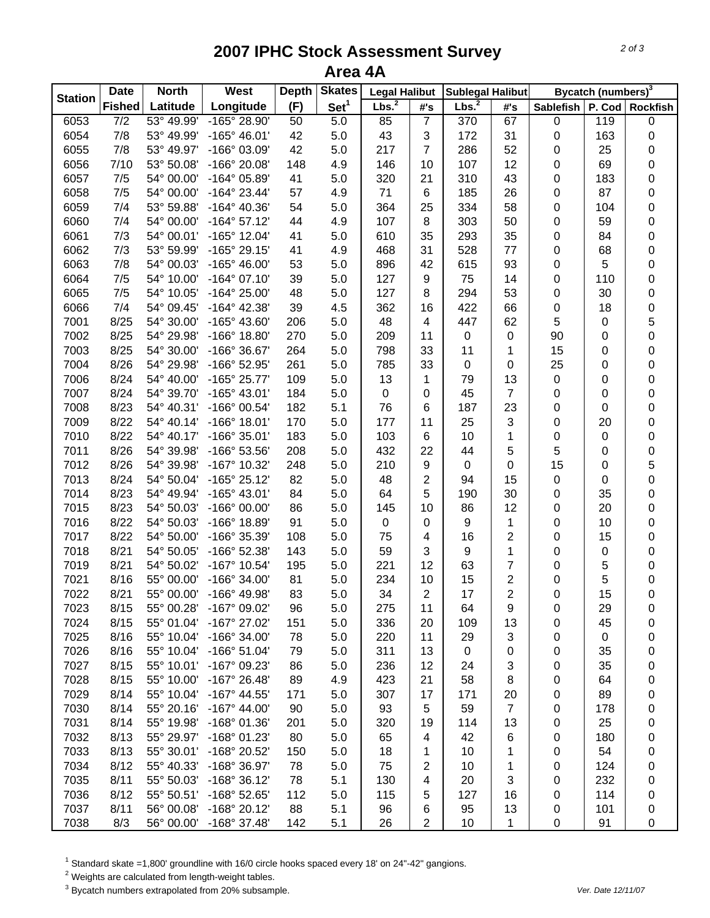## **2007 IPHC Stock Assessment Survey Area 4A**

|                | <b>Date</b>      | <b>North</b> | West                  | <b>Depth</b> | <b>Skates</b>    | <b>Legal Halibut</b> |                | <b>Sublegal Halibut</b> |                | Bycatch (numbers) <sup>3</sup> |           |                 |
|----------------|------------------|--------------|-----------------------|--------------|------------------|----------------------|----------------|-------------------------|----------------|--------------------------------|-----------|-----------------|
| <b>Station</b> | <b>Fished</b>    | Latitude     | Longitude             | (F)          | Set <sup>1</sup> | Lbs. <sup>2</sup>    | #'s            | Lbs. <sup>2</sup>       | #'s            | <b>Sablefish</b>               |           | P. Cod Rockfish |
| 6053           | $\overline{7/2}$ | 53° 49.99'   | $-165^{\circ} 28.90'$ | 50           | 5.0              | 85                   | $\overline{7}$ | $\overline{370}$        | 67             | $\pmb{0}$                      | 119       | 0               |
| 6054           | 7/8              | 53° 49.99'   | $-165^{\circ}$ 46.01' | 42           | 5.0              | 43                   | 3              | 172                     | 31             | 0                              | 163       | 0               |
| 6055           | 7/8              | 53° 49.97'   | -166° 03.09'          | 42           | 5.0              | 217                  | $\overline{7}$ | 286                     | 52             | 0                              | 25        | 0               |
| 6056           | 7/10             | 53° 50.08'   | -166° 20.08'          | 148          | 4.9              | 146                  | 10             | 107                     | 12             | 0                              | 69        | 0               |
| 6057           | 7/5              | 54° 00.00'   | -164° 05.89'          | 41           | 5.0              | 320                  | 21             | 310                     | 43             | 0                              | 183       | 0               |
| 6058           | 7/5              | 54° 00.00'   | $-164^{\circ}$ 23.44' | 57           | 4.9              | 71                   | 6              | 185                     | 26             | 0                              | 87        | 0               |
| 6059           | 7/4              | 53° 59.88'   | $-164^{\circ}$ 40.36' | 54           | 5.0              | 364                  | 25             | 334                     | 58             | 0                              | 104       | $\mathbf 0$     |
| 6060           | 7/4              | 54° 00.00'   | $-164^{\circ}$ 57.12' | 44           | 4.9              | 107                  | 8              | 303                     | 50             | 0                              | 59        | 0               |
| 6061           | 7/3              | 54° 00.01'   | -165° 12.04'          | 41           | 5.0              | 610                  | 35             | 293                     | 35             | 0                              | 84        | 0               |
| 6062           | 7/3              | 53° 59.99'   | -165° 29.15'          | 41           | 4.9              | 468                  | 31             | 528                     | 77             | 0                              | 68        | 0               |
| 6063           | 7/8              | 54° 00.03'   | $-165^{\circ}$ 46.00' | 53           | 5.0              | 896                  | 42             | 615                     | 93             | 0                              | 5         | 0               |
| 6064           | 7/5              | 54° 10.00'   | $-164^{\circ}$ 07.10' | 39           | 5.0              | 127                  | 9              | 75                      | 14             | 0                              | 110       | $\mathbf 0$     |
| 6065           | 7/5              | 54° 10.05'   | $-164^{\circ} 25.00'$ | 48           | 5.0              | 127                  | 8              | 294                     | 53             | 0                              | 30        | $\mathbf 0$     |
| 6066           | 7/4              | 54° 09.45'   | $-164^{\circ}$ 42.38' | 39           | 4.5              | 362                  | 16             | 422                     | 66             | 0                              | 18        | $\mathbf 0$     |
| 7001           | 8/25             | 54° 30.00'   | -165° 43.60'          | 206          | 5.0              | 48                   | 4              | 447                     | 62             | 5                              | 0         | 5               |
| 7002           | 8/25             | 54° 29.98'   | -166° 18.80'          | 270          | 5.0              | 209                  | 11             | $\pmb{0}$               | $\,0\,$        | 90                             | 0         | $\mathbf 0$     |
| 7003           | 8/25             | 54° 30.00'   | -166° 36.67'          | 264          | 5.0              | 798                  | 33             | 11                      | 1              | 15                             | 0         | $\mathbf 0$     |
| 7004           | 8/26             | 54° 29.98'   | -166° 52.95'          | 261          | 5.0              | 785                  | 33             | $\pmb{0}$               | 0              | 25                             | 0         | 0               |
| 7006           | 8/24             | 54° 40.00'   | -165° 25.77'          | 109          | $5.0\,$          | 13                   | 1              | 79                      | 13             | 0                              | 0         | 0               |
| 7007           | 8/24             | 54° 39.70'   | $-165^{\circ}$ 43.01' | 184          | 5.0              | $\pmb{0}$            | 0              | 45                      | $\overline{7}$ | 0                              | 0         | $\mathbf 0$     |
| 7008           | 8/23             | 54° 40.31'   | -166° 00.54'          | 182          | 5.1              | 76                   | 6              | 187                     | 23             | 0                              | $\pmb{0}$ | $\mathbf 0$     |
| 7009           | 8/22             | 54° 40.14'   | $-166°$ 18.01'        | 170          | 5.0              | 177                  | 11             | 25                      | 3              | 0                              | 20        | $\mathbf 0$     |
| 7010           | 8/22             | 54° 40.17'   | $-166°35.01'$         | 183          | $5.0\,$          | 103                  | 6              | 10                      | 1              | 0                              | $\pmb{0}$ | $\mathbf 0$     |
| 7011           | 8/26             | 54° 39.98'   | -166° 53.56'          | 208          | $5.0\,$          | 432                  | 22             | 44                      | $\sqrt{5}$     | 5                              | $\pmb{0}$ | $\mathbf 0$     |
| 7012           | 8/26             | 54° 39.98'   | -167° 10.32'          | 248          | 5.0              | 210                  | 9              | $\pmb{0}$               | $\pmb{0}$      | 15                             | $\pmb{0}$ | 5               |
| 7013           | 8/24             | 54° 50.04'   | -165° 25.12'          | 82           | 5.0              | 48                   | $\overline{c}$ | 94                      | 15             | $\pmb{0}$                      | $\pmb{0}$ | $\mathbf 0$     |
| 7014           | 8/23             | 54° 49.94'   | $-165^{\circ}$ 43.01' | 84           | 5.0              | 64                   | 5              | 190                     | 30             | 0                              | 35        | 0               |
| 7015           | 8/23             | 54° 50.03'   | -166° 00.00'          | 86           | 5.0              | 145                  | 10             | 86                      | 12             | 0                              | 20        | $\mathbf 0$     |
| 7016           | 8/22             | 54° 50.03'   | -166° 18.89'          | 91           | 5.0              | $\pmb{0}$            | $\pmb{0}$      | 9                       | 1              | 0                              | 10        | $\mathbf 0$     |
| 7017           | 8/22             | 54° 50.00'   | -166° 35.39'          | 108          | 5.0              | 75                   | 4              | 16                      | $\overline{c}$ | 0                              | 15        | 0               |
| 7018           | 8/21             | 54° 50.05'   | -166° 52.38'          | 143          | 5.0              | 59                   | 3              | 9                       | 1              | 0                              | 0         | $\mathbf 0$     |
| 7019           | 8/21             | 54° 50.02'   | -167° 10.54'          | 195          | $5.0\,$          | 221                  | 12             | 63                      | 7              | 0                              | 5         | $\mathbf 0$     |
| 7021           | 8/16             | 55° 00.00'   | -166° 34.00'          | 81           | $5.0\,$          | 234                  | 10             | 15                      | 2              | 0                              | 5         | $\mathbf 0$     |
| 7022           | 8/21             | 55° 00.00'   | -166° 49.98'          | 83           | 5.0              | 34                   | $\overline{2}$ | 17                      | $\overline{2}$ | 0                              | 15        | $\mathsf 0$     |
| 7023           | 8/15             | 55° 00.28'   | -167° 09.02'          | 96           | 5.0              | 275                  | 11             | 64                      | 9              | 0                              | 29        | 0               |
| 7024           | 8/15             | 55° 01.04'   | -167° 27.02'          | 151          | 5.0              | 336                  | 20             | 109                     | 13             | 0                              | 45        | 0               |
| 7025           | 8/16             | 55° 10.04'   | -166° 34.00'          | 78           | 5.0              | 220                  | 11             | 29                      | 3              | 0                              | 0         | 0               |
| 7026           | 8/16             | 55° 10.04'   | $-166°51.04'$         | 79           | 5.0              | 311                  | 13             | $\mathbf 0$             | $\pmb{0}$      | 0                              | 35        | 0               |
| 7027           | 8/15             | 55° 10.01'   | -167° 09.23'          | 86           | 5.0              | 236                  | 12             | 24                      | 3              | 0                              | 35        | 0               |
| 7028           | 8/15             | 55° 10.00'   | $-167^{\circ}$ 26.48' | 89           | 4.9              | 423                  | 21             | 58                      | 8              | 0                              | 64        | 0               |
| 7029           | 8/14             | 55° 10.04'   | -167° 44.55'          | 171          | 5.0              | 307                  | 17             | 171                     | 20             | 0                              | 89        | 0               |
| 7030           | 8/14             | 55° 20.16'   | $-167^{\circ}$ 44.00' | 90           | 5.0              | 93                   | 5              | 59                      | $\overline{7}$ | 0                              | 178       | 0               |
| 7031           | 8/14             | 55° 19.98'   | -168° 01.36'          | 201          | 5.0              | 320                  | 19             | 114                     | 13             | 0                              | 25        | 0               |
| 7032           | 8/13             | 55° 29.97'   | -168° 01.23'          | 80           | 5.0              | 65                   | 4              | 42                      | 6              | 0                              | 180       | 0               |
| 7033           | 8/13             | 55° 30.01'   | -168° 20.52'          | 150          | 5.0              | 18                   | 1              | 10                      | 1              | 0                              | 54        | 0               |
| 7034           | 8/12             | 55° 40.33'   | -168° 36.97'          | 78           | 5.0              | 75                   | $\overline{2}$ | 10                      | 1              | 0                              | 124       | 0               |
| 7035           | 8/11             | 55° 50.03'   | $-168°36.12'$         | 78           | 5.1              | 130                  | 4              | 20                      | 3              | 0                              | 232       | 0               |
| 7036           | 8/12             | 55° 50.51'   | -168° 52.65'          | 112          | 5.0              | 115                  | 5              | 127                     | 16             | 0                              | 114       | 0               |
| 7037           | 8/11             | 56° 00.08'   | -168° 20.12'          | 88           | 5.1              | 96                   | 6              | 95                      | 13             | 0                              | 101       | 0               |
| 7038           | 8/3              | 56° 00.00'   | -168° 37.48'          | 142          | 5.1              | 26                   | $\overline{2}$ | 10                      | 1              | 0                              | 91        | 0               |

 $^1$  Standard skate =1,800' groundline with 16/0 circle hooks spaced every 18' on 24"-42" gangions.<br><sup>2</sup> Weights are calculated from length-weight tables.

3 Bycatch numbers extrapolated from 20% subsample. *Ver. Date 12/11/07*